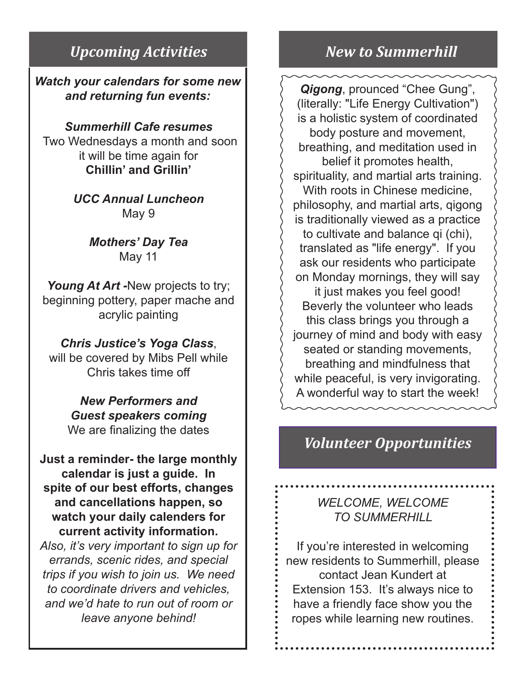### *Upcoming Activities New to Summerhill*

*Watch your calendars for some new and returning fun events:*

*Summerhill Cafe resumes* Two Wednesdays a month and soon it will be time again for **Chillin' and Grillin'**

> *UCC Annual Luncheon* May 9

> > *Mothers' Day Tea* May 11

Young At Art -New projects to try; beginning pottery, paper mache and acrylic painting

*Chris Justice's Yoga Class*, will be covered by Mibs Pell while Chris takes time off

> *New Performers and Guest speakers coming* We are finalizing the dates

**Just a reminder- the large monthly calendar is just a guide. In spite of our best efforts, changes and cancellations happen, so watch your daily calenders for current activity information.** 

*Also, it's very important to sign up for errands, scenic rides, and special trips if you wish to join us. We need to coordinate drivers and vehicles, and we'd hate to run out of room or leave anyone behind!*

 *Qigong*, prounced "Chee Gung", (literally: "Life Energy Cultivation") is a holistic system of coordinated body posture and movement, breathing, and meditation used in belief it promotes health, spirituality, and martial arts training. With roots in Chinese medicine, philosophy, and martial arts, qigong is traditionally viewed as a practice to cultivate and balance qi (chi), translated as "life energy". If you ask our residents who participate on Monday mornings, they will say it just makes you feel good! Beverly the volunteer who leads this class brings you through a journey of mind and body with easy seated or standing movements, breathing and mindfulness that while peaceful, is very invigorating. A wonderful way to start the week!

# *Volunteer Opportunities*

*WELCOME, WELCOME TO SUMMERHILL*

If you're interested in welcoming new residents to Summerhill, please contact Jean Kundert at Extension 153. It's always nice to have a friendly face show you the ropes while learning new routines.